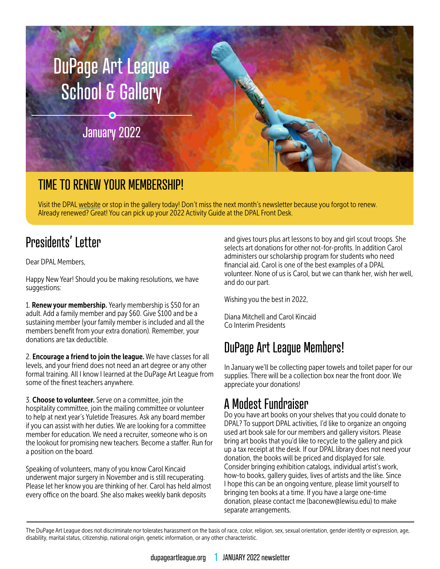

### TIME TO RENEW YOUR MEMBERSHIP!

Visit the DPAL [website](https://www.dupageartleague.org/) or stop in the gallery today! Don't miss the next month's newsletter because you forgot to renew. Already renewed? Great! You can pick up your 2022 Activity Guide at the DPAL Front Desk.

### Presidents' Letter

Dear DPAL Members,

Happy New Year! Should you be making resolutions, we have suggestions:

1. Renew your membership. Yearly membership is \$50 for an adult. Add a family member and pay \$60. Give \$100 and be a sustaining member (your family member is included and all the members benefit from your extra donation). Remember, your donations are tax deductible.

2. Encourage a friend to join the league. We have classes for all levels, and your friend does not need an art degree or any other formal training. All I know I learned at the DuPage Art League from some of the finest teachers anywhere.

3. Choose to volunteer. Serve on a committee, join the hospitality committee, join the mailing committee or volunteer to help at next year's Yuletide Treasures. Ask any board member if you can assist with her duties. We are looking for a committee member for education. We need a recruiter, someone who is on the lookout for promising new teachers. Become a staffer. Run for a position on the board.

Speaking of volunteers, many of you know Carol Kincaid underwent major surgery in November and is still recuperating. Please let her know you are thinking of her. Carol has held almost every office on the board. She also makes weekly bank deposits

and gives tours plus art lessons to boy and girl scout troops. She selects art donations for other not-for-profits. In addition Carol administers our scholarship program for students who need financial aid. Carol is one of the best examples of a DPAL volunteer. None of us is Carol, but we can thank her, wish her well, and do our part.

Wishing you the best in 2022,

Diana Mitchell and Carol Kincaid Co Interim Presidents

### DuPage Art League Members!

In January we'll be collecting paper towels and toilet paper for our supplies. There will be a collection box near the front door. We appreciate your donations!

### A Modest Fundraiser

Do you have art books on your shelves that you could donate to DPAL? To support DPAL activities, I'd like to organize an ongoing used art book sale for our members and gallery visitors. Please bring art books that you'd like to recycle to the gallery and pick up a tax receipt at the desk. If our DPAL library does not need your donation, the books will be priced and displayed for sale. Consider bringing exhibition catalogs, individual artist's work, how-to books, gallery guides, lives of artists and the like. Since I hope this can be an ongoing venture, please limit yourself to bringing ten books at a time. If you have a large one-time donation, please contact me (baconew@lewisu.edu) to make separate arrangements.

The DuPage Art League does not discriminate nor tolerates harassment on the basis of race, color, religion, sex, sexual orientation, gender identity or expression, age, disability, marital status, citizenship, national origin, genetic information, or any other characteristic.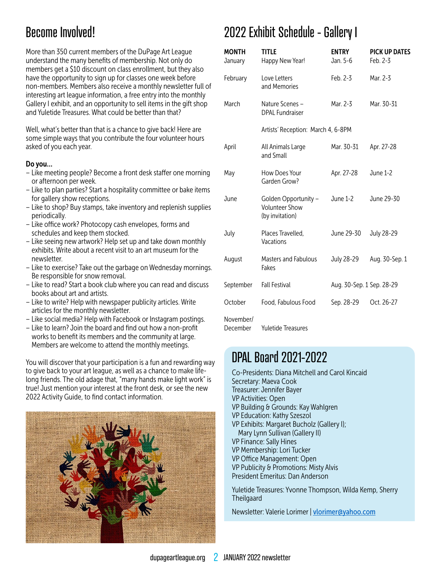### Become Involved!

More than 350 current members of the DuPage Art League understand the many benefits of membership. Not only do members get a \$10 discount on class enrollment, but they also have the opportunity to sign up for classes one week before non-members. Members also receive a monthly newsletter full of interesting art league information, a free entry into the monthly Gallery I exhibit, and an opportunity to sell items in the gift shop and Yuletide Treasures. What could be better than that?

Well, what's better than that is a chance to give back! Here are some simple ways that you contribute the four volunteer hours asked of you each year.

#### Do you…

- Like meeting people? Become a front desk staffer one morning or afternoon per week.
- Like to plan parties? Start a hospitality committee or bake items for gallery show receptions.
- Like to shop? Buy stamps, take inventory and replenish supplies periodically.
- Like office work? Photocopy cash envelopes, forms and schedules and keep them stocked.
- Like seeing new artwork? Help set up and take down monthly exhibits. Write about a recent visit to an art museum for the newsletter.
- Like to exercise? Take out the garbage on Wednesday mornings. Be responsible for snow removal.
- Like to read? Start a book club where you can read and discuss books about art and artists.
- Like to write? Help with newspaper publicity articles. Write articles for the monthly newsletter.
- Like social media? Help with Facebook or Instagram postings.
- Like to learn? Join the board and find out how a non-profit works to benefit its members and the community at large. Members are welcome to attend the monthly meetings.

You will discover that your participation is a fun and rewarding way to give back to your art league, as well as a chance to make lifelong friends. The old adage that, "many hands make light work" is true! Just mention your interest at the front desk, or see the new 2022 Activity Guide, to find contact information.



### 2022 Exhibit Schedule - Gallery I

| <b>MONTH</b><br>January | <b>TITLE</b><br>Happy New Year!                                  | <b>ENTRY</b><br>Jan. 5-6  | <b>PICK UP DATES</b><br>Feb. 2-3 |
|-------------------------|------------------------------------------------------------------|---------------------------|----------------------------------|
| February                | Love Letters<br>and Memories                                     | Feb. 2-3                  | Mar. 2-3                         |
| March                   | Nature Scenes -<br><b>DPAL Fundraiser</b>                        | Mar. 2-3                  | Mar. 30-31                       |
|                         | Artists' Reception: March 4, 6-8PM                               |                           |                                  |
| April                   | All Animals Large<br>and Small                                   | Mar. 30-31                | Apr. 27-28                       |
| May                     | How Does Your<br>Garden Grow?                                    | Apr. 27-28                | June 1-2                         |
| June                    | Golden Opportunity -<br><b>Volunteer Show</b><br>(by invitation) | June 1-2                  | June 29-30                       |
| July                    | Places Travelled,<br>Vacations                                   | June 29-30                | July 28-29                       |
| August                  | <b>Masters and Fabulous</b><br>Fakes                             | July 28-29                | Aug. 30-Sep. 1                   |
| September               | <b>Fall Festival</b>                                             | Aug. 30-Sep. 1 Sep. 28-29 |                                  |
| October                 | Food, Fabulous Food                                              | Sep. 28-29                | Oct. 26-27                       |
| November/<br>December   | Yuletide Treasures                                               |                           |                                  |

### DPAL Board 2021-2022

- Co-Presidents: Diana Mitchell and Carol Kincaid Secretary: Maeva Cook Treasurer: Jennifer Bayer VP Activities: Open VP Building & Grounds: Kay Wahlgren VP Education: Kathy Szeszol VP Exhibits: Margaret Bucholz (Gallery I); Mary Lynn Sullivan (Gallery II) VP Finance: Sally Hines
- VP Membership: Lori Tucker
- VP Office Management: Open
- VP Publicity & Promotions: Misty Alvis
- President Emeritus: Dan Anderson

Yuletide Treasures: Yvonne Thompson, Wilda Kemp, Sherry **Theilgaard** 

Newsletter: Valerie Lorimer | [vlorimer@yahoo.com](mailto:vlorimer%40yahoo.com?subject=)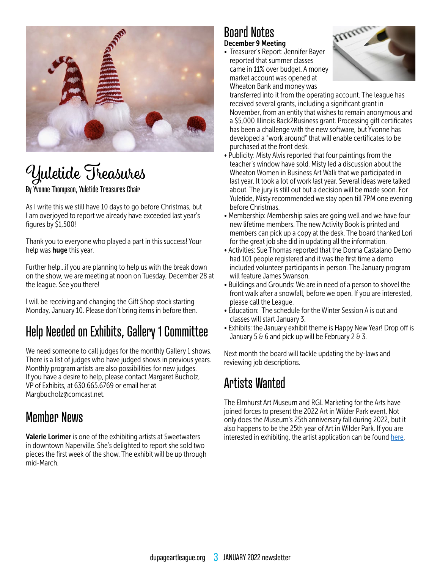

# Yuletide Treasures

#### By Yvonne Thompson, Yuletide Treasures Chair

As I write this we still have 10 days to go before Christmas, but I am overjoyed to report we already have exceeded last year's figures by \$1,500!

Thank you to everyone who played a part in this success! Your help was **huge** this year.

Further help…if you are planning to help us with the break down on the show, we are meeting at noon on Tuesday, December 28 at the league. See you there!

I will be receiving and changing the Gift Shop stock starting Monday, January 10. Please don't bring items in before then.

### Help Needed on Exhibits, Gallery 1 Committee

We need someone to call judges for the monthly Gallery 1 shows. There is a list of judges who have judged shows in previous years. Monthly program artists are also possibilities for new judges. If you have a desire to help, please contact Margaret Bucholz, VP of Exhibits, at 630.665.6769 or email her at Margbucholz@comcast.net.

### Member News

Valerie Lorimer is one of the exhibiting artists at Sweetwaters in downtown Naperville. She's delighted to report she sold two pieces the first week of the show. The exhibit will be up through mid-March.

#### Board Notes December 9 Meeting

• Treasurer's Report: Jennifer Bayer reported that summer classes came in 11% over budget. A money market account was opened at Wheaton Bank and money was



transferred into it from the operating account. The league has received several grants, including a significant grant in November, from an entity that wishes to remain anonymous and a \$5,000 Illinois Back2Business grant. Processing gift certificates has been a challenge with the new software, but Yvonne has developed a "work around" that will enable certificates to be purchased at the front desk.

- Publicity: Misty Alvis reported that four paintings from the teacher's window have sold. Misty led a discussion about the Wheaton Women in Business Art Walk that we participated in last year. It took a lot of work last year. Several ideas were talked about. The jury is still out but a decision will be made soon. For Yuletide, Misty recommended we stay open till 7PM one evening before Christmas.
- Membership: Membership sales are going well and we have four new lifetime members. The new Activity Book is printed and members can pick up a copy at the desk. The board thanked Lori for the great job she did in updating all the information.
- Activities: Sue Thomas reported that the Donna Castalano Demo had 101 people registered and it was the first time a demo included volunteer participants in person. The January program will feature James Swanson.
- Buildings and Grounds: We are in need of a person to shovel the front walk after a snowfall, before we open. If you are interested, please call the League.
- Education: The schedule for the Winter Session A is out and classes will start January 3.
- Exhibits: the January exhibit theme is Happy New Year! Drop off is January 5  $\theta$  6 and pick up will be February 2  $\theta$  3.

Next month the board will tackle updating the by-laws and reviewing job descriptions.

### Artists Wanted

The Elmhurst Art Museum and RGL Marketing for the Arts have joined forces to present the 2022 Art in Wilder Park event. Not only does the Museum's 25th anniversary fall during 2022, but it also happens to be the 25th year of Art in Wilder Park. If you are interested in exhibiting, the artist application can be found [here.](https://www.elmhurstartmuseum.org/events/25th-annual-art-in-wilder-park/)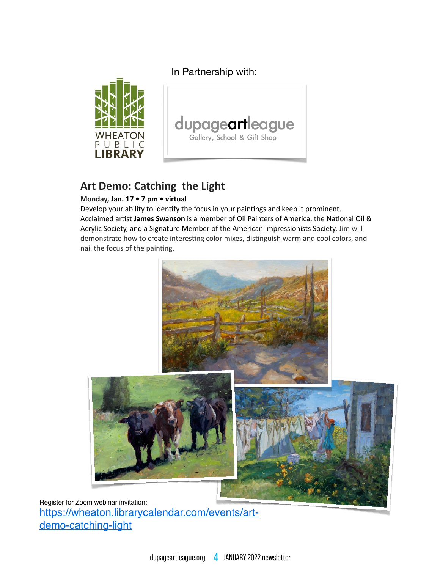In Partnership with:





### Art Demo: Catching the Light

#### Monday, Jan. 17 . 7 pm . virtual

Develop your ability to identify the focus in your paintings and keep it prominent. Acclaimed artist James Swanson is a member of Oil Painters of America, the National Oil & Acrylic Society, and a Signature Member of the American Impressionists Society. Jim will demonstrate how to create interesting color mixes, distinguish warm and cool colors, and nail the focus of the painting.



Register for Zoom webinar invitation: https://wheaton.librarycalendar.com/events/artdemo-catching-light